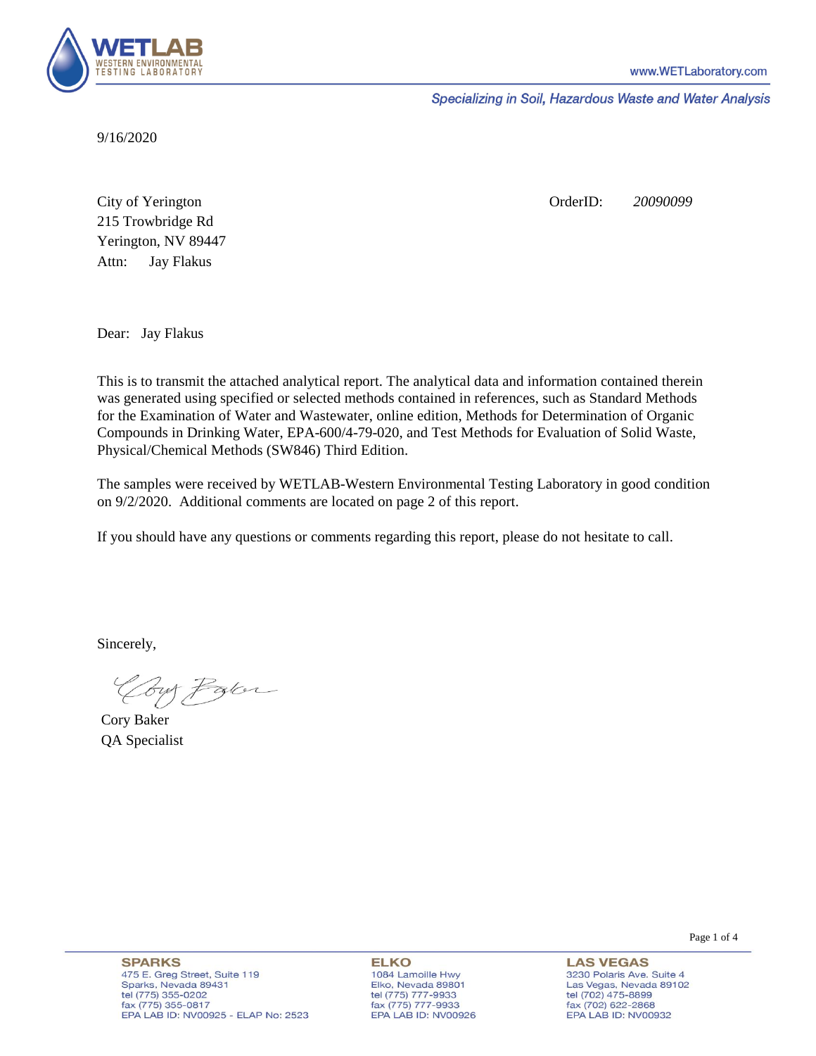

Specializing in Soil, Hazardous Waste and Water Analysis

9/16/2020

Attn: City of Yerington 215 Trowbridge Rd Jay Flakus Yerington, NV 89447 OrderID: *20090099*

Dear: Jay Flakus

This is to transmit the attached analytical report. The analytical data and information contained therein was generated using specified or selected methods contained in references, such as Standard Methods for the Examination of Water and Wastewater, online edition, Methods for Determination of Organic Compounds in Drinking Water, EPA-600/4-79-020, and Test Methods for Evaluation of Solid Waste, Physical/Chemical Methods (SW846) Third Edition.

The samples were received by WETLAB-Western Environmental Testing Laboratory in good condition on 9/2/2020. Additional comments are located on page 2 of this report.

If you should have any questions or comments regarding this report, please do not hesitate to call.

Sincerely,

Coy Palor

Cory Baker QA Specialist

**ELKO** 1084 Lamoille Hwy Elko, Nevada 89801 tel (775) 777-9933<br>fax (775) 777-9933 EPA LAB ID: NV00926

**LAS VEGAS** 3230 Polaris Ave. Suite 4 Las Vegas, Nevada 89102 tel (702) 475-8899 fax (702) 622-2868 EPA LAB ID: NV00932

Page 1 of 4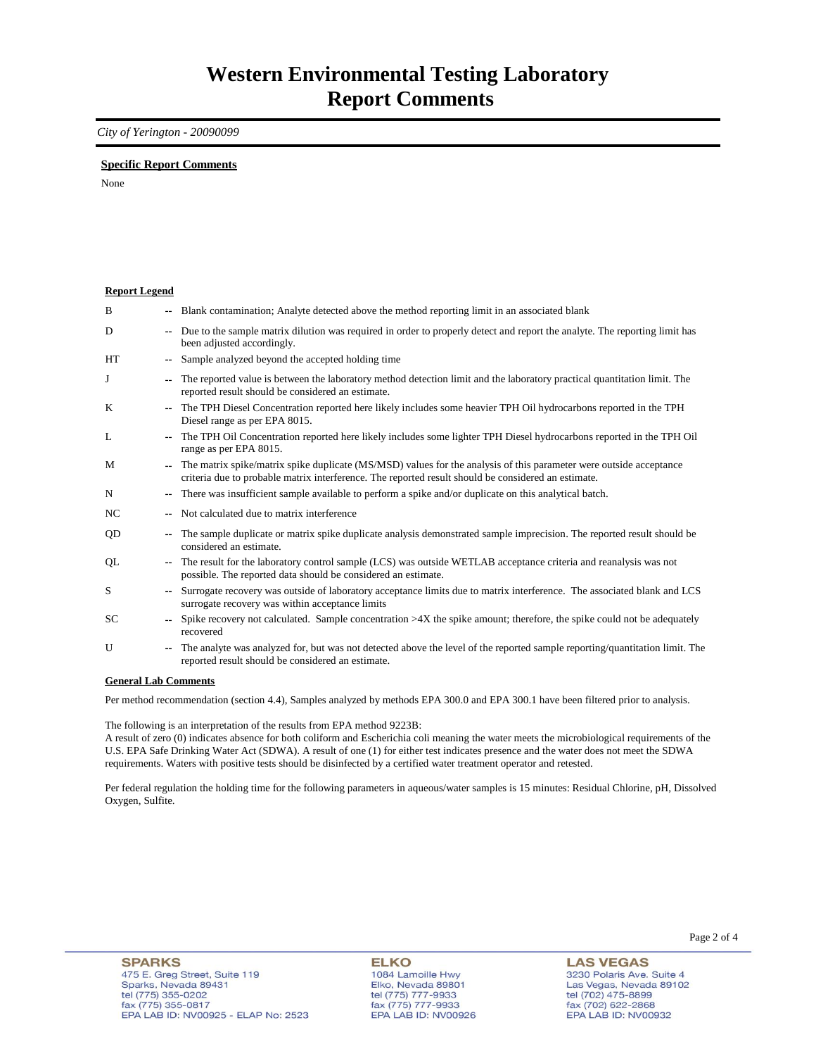### *City of Yerington - 20090099*

### **Specific Report Comments**

None

| <b>Report Legend</b> |        |                                                                                                                                                                                                                           |
|----------------------|--------|---------------------------------------------------------------------------------------------------------------------------------------------------------------------------------------------------------------------------|
| B                    |        | -- Blank contamination; Analyte detected above the method reporting limit in an associated blank                                                                                                                          |
| D                    | $\sim$ | Due to the sample matrix dilution was required in order to properly detect and report the analyte. The reporting limit has<br>been adjusted accordingly.                                                                  |
| HT                   |        | Sample analyzed beyond the accepted holding time                                                                                                                                                                          |
| J                    |        | The reported value is between the laboratory method detection limit and the laboratory practical quantitation limit. The<br>reported result should be considered an estimate.                                             |
| K                    |        | The TPH Diesel Concentration reported here likely includes some heavier TPH Oil hydrocarbons reported in the TPH<br>Diesel range as per EPA 8015.                                                                         |
| L                    |        | The TPH Oil Concentration reported here likely includes some lighter TPH Diesel hydrocarbons reported in the TPH Oil<br>range as per EPA 8015.                                                                            |
| M                    |        | The matrix spike/matrix spike duplicate (MS/MSD) values for the analysis of this parameter were outside acceptance<br>criteria due to probable matrix interference. The reported result should be considered an estimate. |
| N                    |        | There was insufficient sample available to perform a spike and/or duplicate on this analytical batch.                                                                                                                     |
| NC                   |        | Not calculated due to matrix interference                                                                                                                                                                                 |
| QD                   | ۰.     | The sample duplicate or matrix spike duplicate analysis demonstrated sample imprecision. The reported result should be<br>considered an estimate.                                                                         |
| QL                   |        | The result for the laboratory control sample (LCS) was outside WETLAB acceptance criteria and reanalysis was not<br>possible. The reported data should be considered an estimate.                                         |
| S                    |        | Surrogate recovery was outside of laboratory acceptance limits due to matrix interference. The associated blank and LCS<br>surrogate recovery was within acceptance limits                                                |
| SC                   |        | Spike recovery not calculated. Sample concentration $>4X$ the spike amount; therefore, the spike could not be adequately<br>recovered                                                                                     |
| U                    |        | The analyte was analyzed for, but was not detected above the level of the reported sample reporting/quantitation limit. The<br>reported result should be considered an estimate.                                          |
| 0.111.0.011          |        |                                                                                                                                                                                                                           |

#### **General Lab Comments**

Per method recommendation (section 4.4), Samples analyzed by methods EPA 300.0 and EPA 300.1 have been filtered prior to analysis.

The following is an interpretation of the results from EPA method 9223B:

A result of zero (0) indicates absence for both coliform and Escherichia coli meaning the water meets the microbiological requirements of the U.S. EPA Safe Drinking Water Act (SDWA). A result of one (1) for either test indicates presence and the water does not meet the SDWA requirements. Waters with positive tests should be disinfected by a certified water treatment operator and retested.

Per federal regulation the holding time for the following parameters in aqueous/water samples is 15 minutes: Residual Chlorine, pH, Dissolved Oxygen, Sulfite.

**ELKO** 1084 Lamoille Hwy Elko, Nevada 89801 tel (775) 777-9933<br>fax (775) 777-9933 EPA LAB ID: NV00926

**LAS VEGAS** 3230 Polaris Ave. Suite 4 Las Vegas, Nevada 89102 tel (702) 475-8899<br>fax (702) 622-2868 EPA LAB ID: NV00932

Page 2 of 4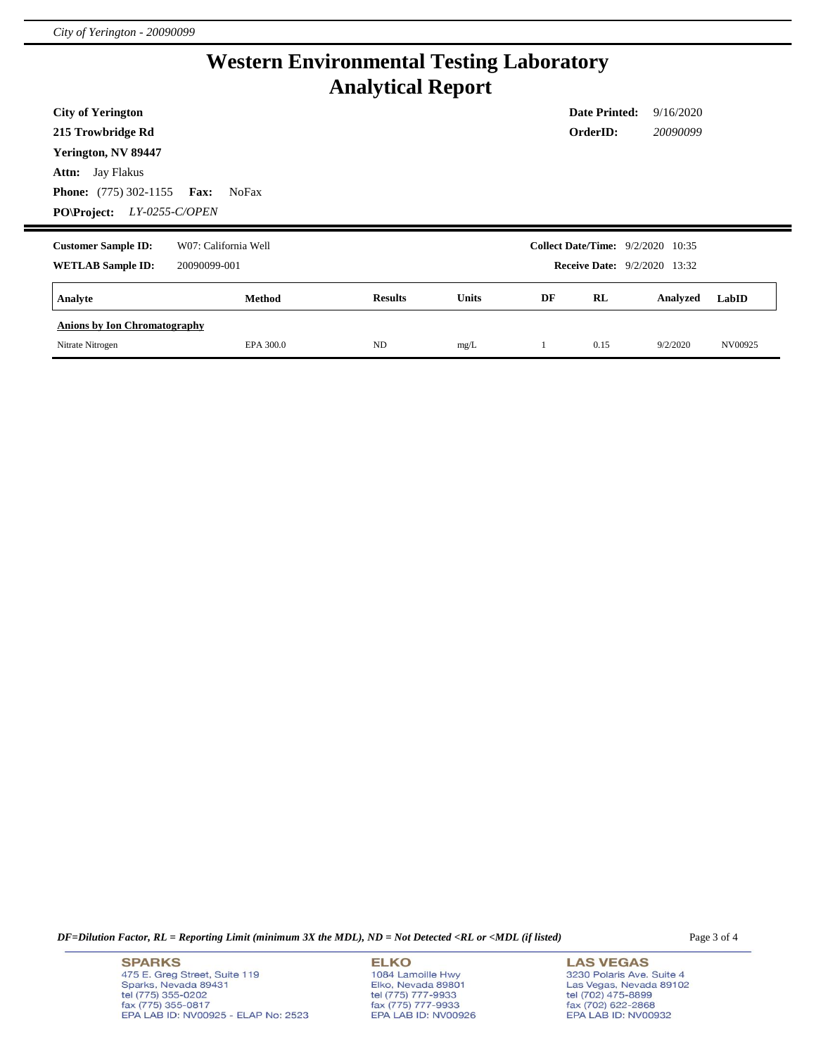# **Western Environmental Testing Laboratory Analytical Report**

| <b>City of Yerington</b>             |                      |                |       |    | <b>Date Printed:</b>                     | 9/16/2020 |       |
|--------------------------------------|----------------------|----------------|-------|----|------------------------------------------|-----------|-------|
| 215 Trowbridge Rd                    |                      |                |       |    | OrderID:                                 | 20090099  |       |
| Yerington, NV 89447                  |                      |                |       |    |                                          |           |       |
| <b>Attn:</b> Jay Flakus              |                      |                |       |    |                                          |           |       |
| <b>Phone:</b> $(775)$ 302-1155       | Fax:<br><b>NoFax</b> |                |       |    |                                          |           |       |
| LY-0255-C/OPEN<br><b>PO\Project:</b> |                      |                |       |    |                                          |           |       |
|                                      |                      |                |       |    |                                          |           |       |
| <b>Customer Sample ID:</b>           | W07: California Well |                |       |    | <b>Collect Date/Time:</b> 9/2/2020 10:35 |           |       |
| <b>WETLAB Sample ID:</b>             | 20090099-001         |                |       |    | <b>Receive Date:</b> 9/2/2020 13:32      |           |       |
| Analyte                              | Method               | <b>Results</b> | Units | DF | RL                                       | Analyzed  | LabID |
| <b>Anions by Ion Chromatography</b>  |                      |                |       |    |                                          |           |       |

*DF=Dilution Factor, RL = Reporting Limit (minimum 3X the MDL), ND = Not Detected <RL or <MDL (if listed)* Page 3 of 4

**SPARKS** 475 E. Greg Street, Suite 119 Sparks, Nevada 89431<br>tel (775) 355-0202<br>fax (775) 355-0817 EPA LAB ID: NV00925 - ELAP No: 2523 **ELKO** 1084 Lamoille Hwy Elko, Nevada 89801<br>tel (775) 777-9933<br>fax (775) 777-9933 EPA LAB ID: NV00926

**LAS VEGAS** 3230 Polaris Ave. Suite 4 Las Vegas, Nevada 89102<br>tel (702) 475-8899<br>fax (702) 622-2868<br>EPA LAB ID: NV00932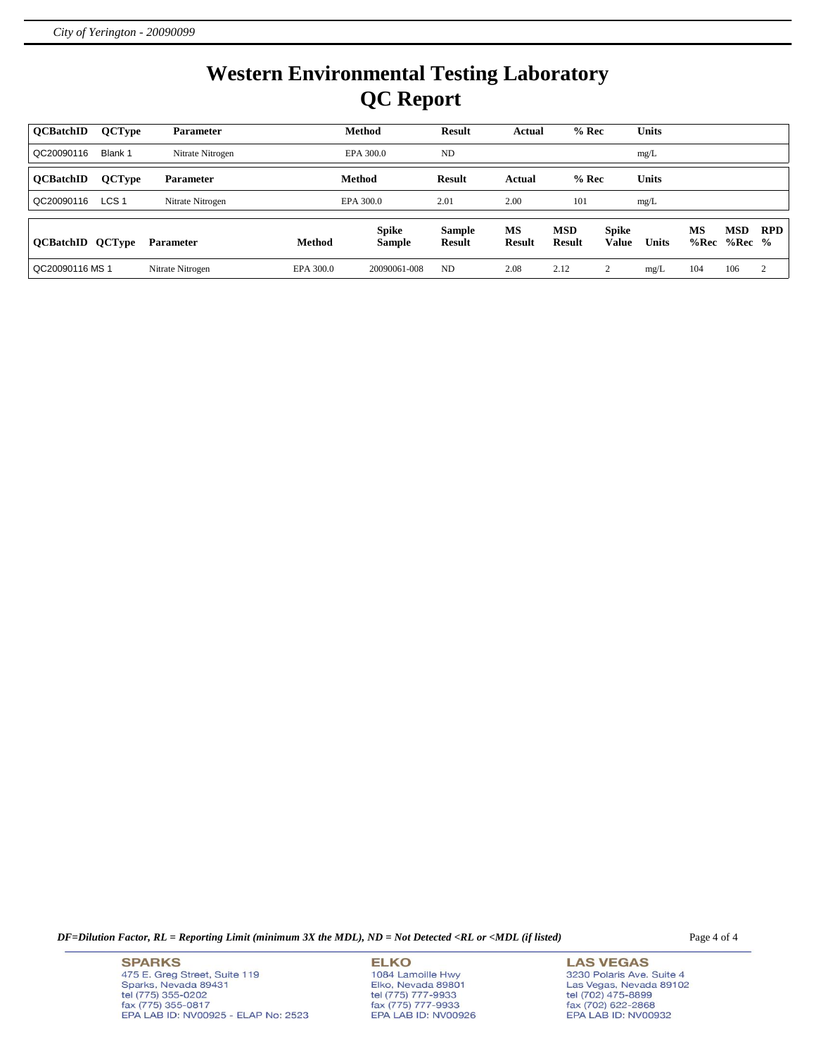# **Western Environmental Testing Laboratory QC Report**

| <b>OCBatchID</b>        | <b>QCType</b>    | <b>Parameter</b> |           | Method                        | <b>Result</b>                  | Actual              | $%$ Rec                     |                              | <b>Units</b> |            |                 |                |
|-------------------------|------------------|------------------|-----------|-------------------------------|--------------------------------|---------------------|-----------------------------|------------------------------|--------------|------------|-----------------|----------------|
| QC20090116              | Blank 1          | Nitrate Nitrogen |           | EPA 300.0                     | ND                             |                     |                             |                              | mg/L         |            |                 |                |
| <b>OCBatchID</b>        | <b>QCType</b>    | <b>Parameter</b> |           | Method                        | <b>Result</b>                  | Actual              | $%$ Rec                     |                              | <b>Units</b> |            |                 |                |
| QC20090116              | LCS <sub>1</sub> | Nitrate Nitrogen |           | EPA 300.0                     | 2.01                           | 2.00                | 101                         |                              | mg/L         |            |                 |                |
| <b>QCBatchID QCType</b> |                  | <b>Parameter</b> | Method    | <b>Spike</b><br><b>Sample</b> | <b>Sample</b><br><b>Result</b> | MS<br><b>Result</b> | <b>MSD</b><br><b>Result</b> | <b>Spike</b><br><b>Value</b> | <b>Units</b> | MS<br>%Rec | MSD<br>$%Rec$ % | <b>RPD</b>     |
| QC20090116 MS 1         |                  | Nitrate Nitrogen | EPA 300.0 | 20090061-008                  | ND                             | 2.08                | 2.12                        | $\sim$                       | mg/L         | 104        | 106             | $\overline{2}$ |

*DF=Dilution Factor, RL = Reporting Limit (minimum 3X the MDL), ND = Not Detected <RL or <MDL (if listed)* Page 4 of 4

**SPARKS** 475 E. Greg Street, Suite 119 Sparks, Nevada 89431<br>tel (775) 355-0202<br>fax (775) 355-0817 EPA LAB ID: NV00925 - ELAP No: 2523 **ELKO** 1084 Lamoille Hwy Elko, Nevada 89801<br>tel (775) 777-9933<br>fax (775) 777-9933 EPA LAB ID: NV00926

**LAS VEGAS** 3230 Polaris Ave. Suite 4 Las Vegas, Nevada 89102<br>tel (702) 475-8899<br>fax (702) 622-2868<br>EPA LAB ID: NV00932